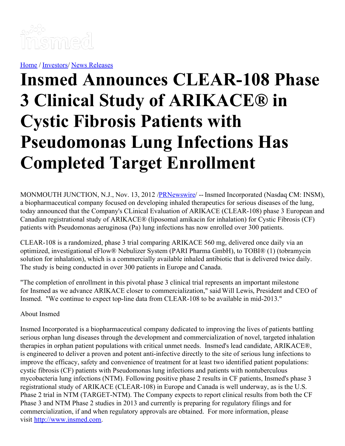

[Home](https://insmed.com/) / [Investors](https://investor.insmed.com/index)/ News [Releases](https://investor.insmed.com/releases)

## **Insmed Announces CLEAR-108 Phase 3 Clinical Study of ARIKACE® in Cystic Fibrosis Patients with Pseudomonas Lung Infections Has Completed Target Enrollment**

MONMOUTH JUNCTION, N.J., Nov. 13, 2012 /**PRNewswire/** -- Insmed Incorporated (Nasdaq CM: INSM), a biopharmaceutical company focused on developing inhaled therapeutics for serious diseases of the lung, today announced that the Company's CLinical Evaluation of ARIKACE (CLEAR-108) phase 3 European and Canadian registrational study of ARIKACE® (liposomal amikacin for inhalation) for Cystic Fibrosis (CF) patients with Pseudomonas aeruginosa (Pa) lung infections has now enrolled over 300 patients.

CLEAR-108 is a randomized, phase 3 trial comparing ARIKACE 560 mg, delivered once daily via an optimized, investigational eFlow® Nebulizer System (PARI Pharma GmbH), to TOBI® (1) (tobramycin solution for inhalation), which is a commercially available inhaled antibiotic that is delivered twice daily. The study is being conducted in over 300 patients in Europe and Canada.

"The completion of enrollment in this pivotal phase 3 clinical trial represents an important milestone for Insmed as we advance ARIKACE closer to commercialization," said Will Lewis, President and CEO of Insmed. "We continue to expect top-line data from CLEAR-108 to be available in mid-2013."

About Insmed

Insmed Incorporated is a biopharmaceutical company dedicated to improving the lives of patients battling serious orphan lung diseases through the development and commercialization of novel, targeted inhalation therapies in orphan patient populations with critical unmet needs. Insmed's lead candidate, ARIKACE®, is engineered to deliver a proven and potent anti-infective directly to the site of serious lung infections to improve the efficacy, safety and convenience of treatment for at least two identified patient populations: cystic fibrosis (CF) patients with Pseudomonas lung infections and patients with nontuberculous mycobacteria lung infections (NTM). Following positive phase 2 results in CF patients, Insmed's phase 3 registrational study of ARIKACE (CLEAR-108) in Europe and Canada is well underway, as is the U.S. Phase 2 trial in NTM (TARGET-NTM). The Company expects to report clinical results from both the CF Phase 3 and NTM Phase 2 studies in 2013 and currently is preparing for regulatory filings and for commercialization, if and when regulatory approvals are obtained. For more information, please visit [http://www.insmed.com](http://www.insmed.com/).